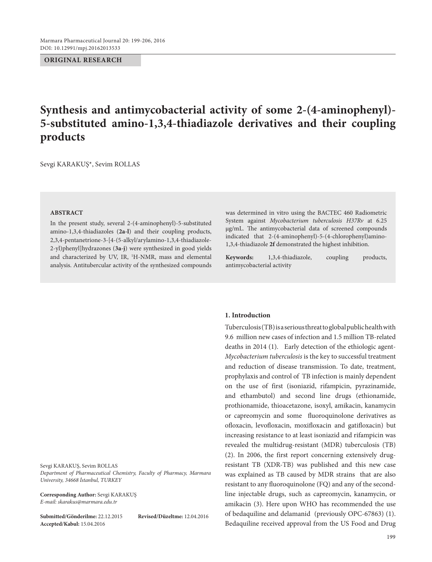#### **ORIGINAL RESEARCH**

# **Synthesis and antimycobacterial activity of some 2-(4-aminophenyl)- 5-substituted amino-1,3,4-thiadiazole derivatives and their coupling products**

Sevgi KARAKUŞ\*, Sevim ROLLAS

#### **ABSTRACT**

In the present study, several 2-(4-aminophenyl)-5-substituted amino-1,3,4-thiadiazoles (**2a-l**) and their coupling products, 2,3,4-pentanetrione-3-[4-(5-alkyl/arylamino-1,3,4-thiadiazole-2-yl)phenyl]hydrazones (**3a-j**) were synthesized in good yields and characterized by UV, IR, <sup>1</sup>H-NMR, mass and elemental analysis. Antitubercular activity of the synthesized compounds

Sevgi KARAKUŞ, Sevim ROLLAS *Department of Pharmaceutical Chemistry, Faculty of Pharmacy, Marmara University, 34668 İstanbul, TURKEY*

**Corresponding Author:** Sevgi KARAKUŞ *E-mail: skarakus@marmara.edu.tr*

**Submitted/Gönderilme:** 22.12.2015 **Revised/Düzeltme:** 12.04.2016 **Accepted/Kabul:** 15.04.2016

was determined in vitro using the BACTEC 460 Radiometric System against *Mycobacterium tuberculosis H37Rv* at 6.25 μg/mL. The antimycobacterial data of screened compounds indicated that 2-(4-aminophenyl)-5-(4-chlorophenyl)amino-1,3,4-thiadiazole **2f** demonstrated the highest inhibition.

**Keywords:** 1,3,4-thiadiazole, coupling products, antimycobacterial activity

#### **1. Introduction**

Tuberculosis (TB) is a serious threat to global public health with 9.6 million new cases of infection and 1.5 million TB-related deaths in 2014 (1). Early detection of the ethiologic agent-*Mycobacterium tuberculosis* is the key to successful treatment and reduction of disease transmission. To date, treatment, prophylaxis and control of TB infection is mainly dependent on the use of first (isoniazid, rifampicin, pyrazinamide, and ethambutol) and second line drugs (ethionamide, prothionamide, thioacetazone, isoxyl, amikacin, kanamycin or capreomycin and some fluoroquinolone derivatives as ofloxacin, levofloxacin, moxifloxacin and gatifloxacin) but increasing resistance to at least isoniazid and rifampicin was revealed the multidrug-resistant (MDR) tuberculosis (TB) (2). In 2006, the first report concerning extensively drugresistant TB (XDR-TB) was published and this new case was explained as TB caused by MDR strains that are also resistant to any fluoroquinolone (FQ) and any of the secondline injectable drugs, such as capreomycin, kanamycin, or amikacin (3). Here upon WHO has recommended the use of bedaquiline and delamanid (previously OPC-67863) (1). Bedaquiline received approval from the US Food and Drug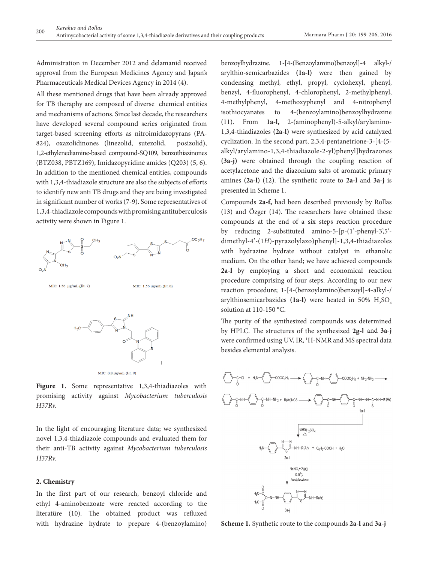Administration in December 2012 and delamanid received approval from the European Medicines Agency and Japan's Pharmaceuticals Medical Devices Agency in 2014 (4).

All these mentioned drugs that have been already approved for TB theraphy are composed of diverse chemical entities and mechanisms of actions. Since last decade, the researchers have developed several compound series originated from target-based screening efforts as nitroimidazopyrans (PA-824), oxazolidinones (linezolid, sutezolid, posizolid), 1,2-ethylenediamine-based compound-SQ109, benzothiazinones (BTZ038, PBTZ169), Imidazopyridine amides (Q203) (5, 6). In addition to the mentioned chemical entities, compounds with 1,3,4-thiadiazole structure are also the subjects of efforts to identify new anti TB drugs and they are being investigated in significant number of works (7-9). Some representatives of 1,3,4-thiadiazole compounds with promising antituberculosis activity were shown in Figure 1.



MIC: 0.8 μg/mL (lit. 9)

Figure 1. Some representative 1,3,4-thiadiazoles with promising activity against *Mycobacterium tuberculosis H37Rv.*

In the light of encouraging literature data; we synthesized novel 1,3,4-thiadiazole compounds and evaluated them for their anti-TB activity against *Mycobacterium tuberculosis H37Rv.*

#### **2. Chemistry**

In the first part of our research, benzoyl chloride and ethyl 4-aminobenzoate were reacted according to the literatüre (10). The obtained product was refluxed with hydrazine hydrate to prepare 4-(benzoylamino) benzoylhydrazine. 1-[4-(Benzoylamino)benzoyl]-4 alkyl-/ arylthio-semicarbazides **(1a-l)** were then gained by condensing methyl, ethyl, propyl, cyclohexyl, phenyl, benzyl, 4-fluorophenyl, 4-chlorophenyl, 2-methylphenyl, 4-methylphenyl, 4-methoxyphenyl and 4-nitrophenyl isothiocyanates to 4-(benzoylamino)benzoylhydrazine (11). From **1a-l,** 2-(aminophenyl)-5-alkyl/arylamino-1,3,4-thiadiazoles **(2a-l)** were synthesized by acid catalyzed cyclization. In the second part, 2,3,4-pentanetrione-3-[4-(5 alkyl/arylamino-1,3,4-thiadiazole-2-yl)phenyl]hydrazones **(3a-j)** were obtained through the coupling reaction of acetylacetone and the diazonium salts of aromatic primary amines **(2a-l)** (12). The synthetic route to **2a-l** and **3a-j** is presented in Scheme 1.

Compounds **2a-f,** had been described previously by Rollas (13) and Özger (14). The researchers have obtained these compounds at the end of a six steps reaction procedure by reducing 2-substituted amino-5-[p-(1'-phenyl-3',5' dimethyl-4'-(1*H*)-pyrazolylazo)phenyl]-1,3,4-thiadiazoles with hydrazine hydrate without catalyst in ethanolic medium. On the other hand; we have achieved compounds **2a-l** by employing a short and economical reaction procedure comprising of four steps. According to our new reaction procedure; 1-[4-(benzoylamino)benzoyl]-4-alkyl-/ arylthiosemicarbazides (1a-l) were heated in 50%  $\mathrm{H}_{2}\mathrm{SO}_{4}$ solution at 110-150 °C.

The purity of the synthesized compounds was determined by HPLC. The structures of the synthesized **2g-l** and **3a-j** were confirmed using UV, IR, <sup>1</sup>H-NMR and MS spectral data besides elemental analysis.



**Scheme 1.** Synthetic route to the compounds **2a-l** and **3a-j**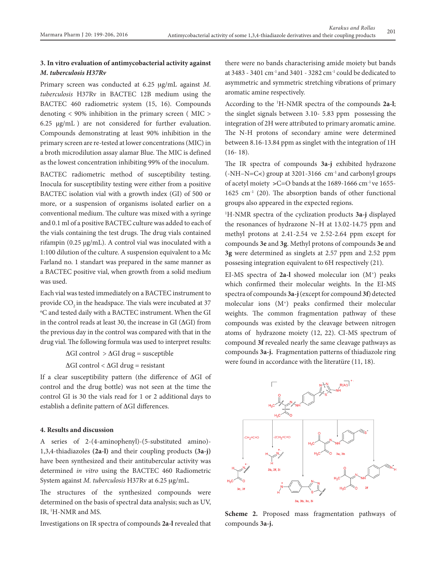## **3. In vitro evaluation of antimycobacterial activity against**  *M. tuberculosis H37Rv*

Primary screen was conducted at 6.25 µg/mL against *M*. *tuberculosis* H37Rv in BACTEC 12B medium using the BACTEC 460 radiometric system (15, 16). Compounds denoting < 90% inhibition in the primary screen ( MIC > 6.25 µg/mL ) are not considered for further evaluation. Compounds demonstrating at least 90% inhibition in the primary screen are re-tested at lower concentrations (MIC) in a broth microdilution assay alamar Blue. The MIC is defined as the lowest concentration inhibiting 99% of the inoculum.

BACTEC radiometric method of susceptibility testing. Inocula for susceptibility testing were either from a positive BACTEC isolation vial with a growth index (GI) of 500 or more, or a suspension of organisms isolated earlier on a conventional medium. The culture was mixed with a syringe and 0.1 ml of a positive BACTEC culture was added to each of the vials containing the test drugs. The drug vials contained rifampin (0.25 µg/mL). A control vial was inoculated with a 1:100 dilution of the culture. A suspension equivalent to a Mc Farland no. 1 standart was prepared in the same manner as a BACTEC positive vial, when growth from a solid medium was used.

Each vial was tested immediately on a BACTEC instrument to provide CO<sub>2</sub> in the headspace. The vials were incubated at 37 o C and tested daily with a BACTEC instrument. When the GI in the control reads at least 30, the increase in GI ( $\Delta$ GI) from the previous day in the control was compared with that in the drug vial. The following formula was used to interpret results:

> $\Delta$ GI control >  $\Delta$ GI drug = susceptible  $\Delta G I$  control <  $\Delta G I$  drug = resistant

If a clear susceptibility pattern (the difference of  $\Delta G I$  of control and the drug bottle) was not seen at the time the control GI is 30 the vials read for 1 or 2 additional days to establish a definite pattern of  $\Delta G$ I differences.

## **4. Results and discussion**

A series of 2-(4-aminophenyl)-(5-substituted amino)- 1,3,4-thiadiazoles **(2a-l)** and their coupling products **(3a-j)** have been synthesized and their antitubercular activity was determined *in vitro* using the BACTEC 460 Radiometric System against *M. tuberculosis* H37Rv at 6.25 µg/mL.

The structures of the synthesized compounds were determined on the basis of spectral data analysis; such as UV, IR, 1 H-NMR and MS.

Investigations on IR spectra of compounds **2a-l** revealed that

there were no bands characterising amide moiety but bands at 3483 - 3401 cm<sup>-1</sup> and 3401 - 3282 cm<sup>-1</sup> could be dedicated to asymmetric and symmetric stretching vibrations of primary aromatic amine respectively.

According to the 1 H-NMR spectra of the compounds **2a-l**; the singlet signals between 3.10- 5.83 ppm possessing the integration of 2H were attributed to primary aromatic amine. The N-H protons of secondary amine were determined between 8.16-13.84 ppm as singlet with the integration of 1H (16- 18).

The IR spectra of compounds **3a-j** exhibited hydrazone  $(-NH-N=C<)$  group at 3201-3166 cm<sup>-1</sup> and carbonyl groups of acetyl moiety >C=O bands at the 1689-1666 cm<sup>-1</sup> ve 1655-1625 cm-1 (20). The absorption bands of other functional groups also appeared in the expected regions.

1 H-NMR spectra of the cyclization products **3a-j** displayed the resonances of hydrazone N–H at 13.02-14.75 ppm and methyl protons at 2.41-2.54 ve 2.52-2.64 ppm except for compounds **3e** and **3g**. Methyl protons of compounds **3e** and **3g** were determined as singlets at 2.57 ppm and 2.52 ppm possesing integration equivalent to 6H respectively (21).

EI-MS spectra of **2a-l** showed molecular ion (M+) peaks which confirmed their molecular weights. In the EI-MS spectra of compounds **3a-j** (except for compound **3f**) detected molecular ions (M+) peaks confirmed their molecular weights. The common fragmentation pathway of these compounds was existed by the cleavage between nitrogen atoms of hydrazone moiety (12, 22). CI-MS spectrum of compound **3f** revealed nearly the same cleavage pathways as compounds **3a-j.** Fragmentation patterns of thiadiazole ring were found in accordance with the literatüre (11, 18).



**Scheme 2.** Proposed mass fragmentation pathways of compounds **3a-j.**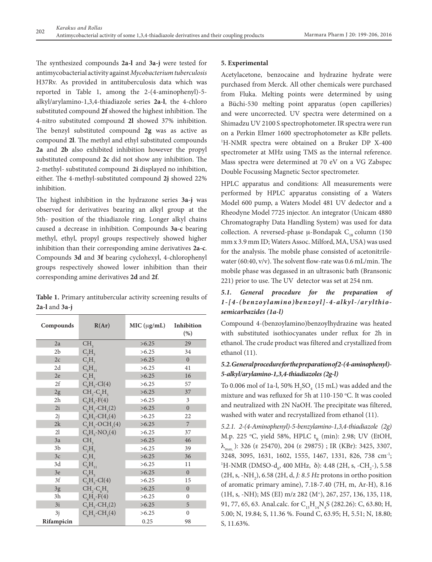The synthesized compounds **2a-l** and **3a-j** were tested for antimycobacterial activity against *Mycobacterium tuberculosis* H37Rv. As provided in antituberculosis data which was reported in Table 1, among the 2-(4-aminophenyl)-5 alkyl/arylamino-1,3,4-thiadiazole series **2a-l**, the 4-chloro substituted compound **2f** showed the highest inhibition. The 4-nitro substituted compound **2l** showed 37% inhibition. The benzyl substituted compound **2g** was as active as compound **2l**. The methyl and ethyl substituted compounds **2a** and **2b** also exhibited inhibition however the propyl substituted compound **2c** did not show any inhibition. The 2-methyl- substituted compound **2i** displayed no inhibition, either. The 4-methyl-substituted compound **2j** showed 22% inhibition.

The highest inhibition in the hydrazone series **3a-j** was observed for derivatives bearing an alkyl group at the 5th- position of the thiadiazole ring. Longer alkyl chains caused a decrease in inhibition. Compounds **3a-c** bearing methyl, ethyl, propyl groups respectively showed higher inhibition than their corresponding amine derivatives **2a-c**. Compounds **3d** and **3f** bearing cyclohexyl, 4-chlorophenyl groups respectively showed lower inhibition than their corresponding amine derivatives **2d** and **2f**.

**Table 1.** Primary antitubercular activity screening results of **2a-l** and **3a-j**

| Compounds      | R(Ar)                             | MIC (ug/mL) | Inhibition<br>(% ) |
|----------------|-----------------------------------|-------------|--------------------|
| 2a             | CH <sub>3</sub>                   | >6.25       | 29                 |
| 2 <sub>b</sub> | $C_2H_5$                          | >6.25       | 34                 |
| 2c             | $C_3H_7$                          | >6.25       | $\theta$           |
| 2d             | $C_{6}H_{11}$                     | >6.25       | 41                 |
| 2e             | $C_{\epsilon}H_{\epsilon}$        | >6.25       | 16                 |
| 2f             | $C_{\epsilon}H_{\epsilon}$ -Cl(4) | >6.25       | 57                 |
| 2g             | $CH2-C6H5$                        | >6.25       | 37                 |
| 2 <sub>h</sub> | $C_6H_5-F(4)$                     | >6.25       | 3                  |
| 2i             | $C_6H_5$ -CH <sub>3</sub> (2)     | >6.25       | $\theta$           |
| 2j             | $C_6H_5$ -CH <sub>3</sub> (4)     | >6.25       | 22                 |
| 2k             | $C6H5$ -OCH <sub>3</sub> (4)      | >6.25       | 7                  |
| 21             | $C6H5-NO2(4)$                     | >6.25       | 37                 |
| 3a             | CH <sub>3</sub>                   | >6.25       | 46                 |
| 3b             | $C_2H_5$                          | >6.25       | 39                 |
| 3c             | $C_3H_7$                          | >6.25       | 36                 |
| 3d             | $C_6H_{11}$                       | >6.25       | 11                 |
| 3e             | $C_{\epsilon}H_{\epsilon}$        | >6.25       | $\theta$           |
| 3f             | $C_{\epsilon}H_{\epsilon}$ -Cl(4) | >6.25       | 15                 |
| 3g             | $CH2-C6H5$                        | >6.25       | $\theta$           |
| 3h             | $C_6H_5-F(4)$                     | >6.25       | $\theta$           |
| 3i             | $C_6H_5$ -CH <sub>3</sub> (2)     | >6.25       | 5                  |
| 3j             | $C6H5$ -CH <sub>3</sub> (4)       | >6.25       | $\theta$           |
| Rifampicin     |                                   | 0.25        | 98                 |

#### **5. Experimental**

Acetylacetone, benzocaine and hydrazine hydrate were purchased from Merck. All other chemicals were purchased from Fluka. Melting points were determined by using a Büchi-530 melting point apparatus (open capilleries) and were uncorrected. UV spectra were determined on a Shimadzu UV 2100 S spectrophotometer. IR spectra were run on a Perkin Elmer 1600 spectrophotometer as KBr pellets. 1 H-NMR spectra were obtained on a Bruker DP X-400 spectrometer at MHz using TMS as the internal reference. Mass spectra were determined at 70 eV on a VG Zabspec Double Focussing Magnetic Sector spectrometer.

HPLC apparatus and conditions: All measurements were performed by HPLC apparatus consisting of a Waters Model 600 pump, a Waters Model 481 UV dedector and a Rheodyne Model 7725 injector. An integrator (Unicam 4880 Chromatography Data Handling System) was used for data collection. A reversed-phase  $\mu$ -Bondapak C<sub>18</sub> column (150 mm x 3.9 mm ID; Waters Assoc. Milford, MA, USA) was used for the analysis. The mobile phase consisted of acetonitrilewater (60:40, v/v). The solvent flow-rate was 0.6 mL/min. The mobile phase was degassed in an ultrasonic bath (Bransonic 221) prior to use. The UV detector was set at 254 nm.

# *5.1. General procedure for the preparation of 1-[4-(benzoylamino)benzoyl]-4-alkyl-/arylthiosemicarbazides (1a-l)*

Compound 4-(benzoylamino)benzoylhydrazine was heated with substituted isothiocyanates under reflux for 2h in ethanol. The crude product was filtered and crystallized from ethanol (11).

## *5.2. General procedure for the preparation of 2-(4-aminophenyl)- 5-alkyl/arylamino-1,3,4-thiadiazoles (2g-l)*

To 0.006 mol of 1a-l, 50%  $\rm H_2SO_4$  (15 mL) was added and the mixture and was refluxed for 5h at  $110-150$  °C. It was cooled and neutralized with 2N NaOH. The precipitate was filtered, washed with water and recrystallized from ethanol (11).

*5.2.1. 2-(4-Aminophenyl)-5-benzylamino-1,3,4-thiadiazole (2g)* M.p. 225 °C, yield 58%, HPLC  $t_R$  (min): 2.98; UV (EtOH,  $\lambda_{\text{max}}$ ): 326 (ε 25470), 204 (ε 29875) ; IR (KBr): 3425, 3307, 3248, 3095, 1631, 1602, 1555, 1467, 1331, 826, 738 cm-1; <sup>1</sup>H-NMR (DMSO-d<sub>6</sub>, 400 MHz, δ): 4.48 (2H, s, -CH<sub>2</sub>-), 5.58 (2H, s, -NH<sub>2</sub>), 6.58 (2H, d, *J: 8.5 Hz* protons in ortho position of aromatic primary amine), 7.18-7.40 (7H, m, Ar-H), 8.16 (1H, s, -NH); MS (EI) m/z 282 (M+), 267, 257, 136, 135, 118, 91, 77, 65, 63. Anal.calc. for C<sub>15</sub>H<sub>14</sub>N<sub>4</sub>S (282.26): C, 63.80; H, 5.00; N, 19.84; S, 11.36 %. Found C, 63.95; H, 5.51; N, 18.80; S, 11.63%.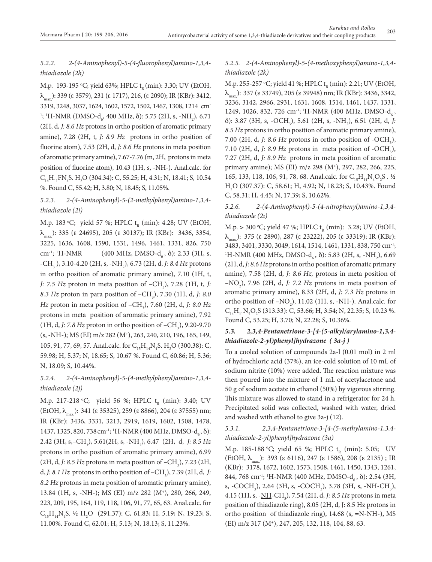# *5.2.2. 2-(4-Aminophenyl)-5-(4-fluorophenyl)amino-1,3,4 thiadiazole (2h)*

M.p. 193-195 °C; yield 63%; HPLC t<sub>r</sub> (min): 3.30; UV (EtOH,  $\lambda_{\text{max}}$ ): 339 (ε 3579), 231 (ε 1717), 216, (ε 2090); IR (KBr): 3412, 3319, 3248, 3037, 1624, 1602, 1572, 1502, 1467, 1308, 1214 cm-<sup>1</sup>; <sup>1</sup>H-NMR (DMSO-d<sub>6</sub>, 400 MHz, δ): 5.75 (2H, s, -NH<sub>2</sub>), 6.71 (2H, d, *J: 8.6 Hz* protons in ortho position of aromatic primary amine), 7.28 (2H, t, *J: 8.9 Hz* protons in ortho position of fluorine atom), 7.53 (2H, d, *J: 8.6 Hz* protons in meta position of aromatic primary amine), 7.67-7.76 (m, 2H, protons in meta position of fluorine atom), 10.43 (1H, s, -NH-). Anal.calc. for  $C_{14}H_{11}FN_{4}S$ , H<sub>2</sub>O (304.34): C, 55.25; H, 4.31; N, 18.41; S, 10.54 %. Found C, 55.42; H, 3.80; N, 18.45; S, 11.05%.

# *5.2.3. 2-(4-Aminophenyl)-5-(2-methylphenyl)amino-1,3,4 thiadiazole (2i)*

M.p. 183 °C; yield 57 %; HPLC  $t_R$  (min): 4.28; UV (EtOH,  $\lambda_{\text{max}}$ ): 335 (ε 24695), 205 (ε 30137); IR (KBr): 3436, 3354, 3225, 1636, 1608, 1590, 1531, 1496, 1461, 1331, 826, 750 cm<sup>-1</sup>; <sup>1</sup>H-NMR  $(400 \text{ MHz}, \text{DMSO-d}_c, \delta)$ : 2.33 (3H, s, -CH<sub>3</sub>), 3.10-4.20 (2H, s, -NH<sub>2</sub>), 6.73 (2H, d, *J: 8.4 Hz* protons in ortho position of aromatic primary amine), 7.10 (1H, t, *J: 7.5 Hz* proton in meta position of  $-CH_3$ ), 7.28 (1H, t, *J: 8.3 Hz* proton in para position of –CH3 ), 7.30 (1H, d, *J: 8.0 Hz* proton in meta position of –CH<sub>3</sub>), 7.60 (2H, d, *J: 8.0 Hz* protons in meta position of aromatic primary amine), 7.92 (1H, d, *J: 7.8 Hz* proton in ortho position of –CH<sub>3</sub>), 9.20-9.70 (s, -NH-); MS (EI) m/z 282 (M+), 263, 240, 210, 196, 165, 149, 105, 91, 77, 69, 57. Anal.calc. for  $C_{15}H_{14}N_4S$ . H<sub>2</sub>O (300.38): C, 59.98; H, 5.37; N, 18.65; S, 10.67 %. Found C, 60.86; H, 5.36; N, 18.09; S, 10.44%.

# *5.2.4. 2-(4-Aminophenyl)-5-(4-methylphenyl)amino-1,3,4 thiadiazole (2j)*

M.p. 217-218 °C; yield 56 %; HPLC  $t_{R}$  (min): 3.40; UV  $(EtOH, \lambda_{max})$ : 341 ( $\varepsilon$  35325), 259 ( $\varepsilon$  8866), 204 ( $\varepsilon$  37555) nm; IR (KBr): 3436, 3331, 3213, 2919, 1619, 1602, 1508, 1478, 1437, 1325, 820, 738 cm<sup>-1</sup>; <sup>1</sup>H-NMR (400 MHz, DMSO- $d_6$ ,  $\delta$ ): 2.42 (3H, s,–CH<sub>3</sub>), 5.61(2H, s, -NH<sub>2</sub>), 6.47 (2H, d, *J: 8.5 Hz* protons in ortho position of aromatic primary amine), 6.99 (2H, d, *J: 8.5 Hz* protons in meta position of  $-CH_3$ ), 7.23 (2H, d, *J*: 8.1 Hz protons in ortho position of  $-CH_3$ ), 7.39 (2H, d, *J*: *8.2 Hz* protons in meta position of aromatic primary amine), 13.84 (1H, s, -NH-); MS (EI) m/z 282 (M+), 280, 266, 249, 223, 209, 195, 164, 119, 118, 106, 91, 77, 65, 63. Anal.calc. for  $C_{15}H_{14}N_4S$ . ½ H<sub>2</sub>O (291.37): C, 61.83; H, 5.19; N, 19.23; S, 11.00%. Found C, 62.01; H, 5.13; N, 18.13; S, 11.23%.

## *5.2.5. 2-(4-Aminophenyl)-5-(4-methoxyphenyl)amino-1,3,4 thiadiazole (2k)*

M.p. 255-257 °C; yield 41 %; HPLC t<sub>r</sub> (min): 2.21; UV (EtOH,  $\lambda_{\text{max}}$ ): 337 (ε 33749), 205 (ε 39948) nm; IR (KBr): 3436, 3342, 3236, 3142, 2966, 2931, 1631, 1608, 1514, 1461, 1437, 1331, 1249, 1026, 832, 726 cm<sup>-1</sup>; <sup>1</sup>H-NMR (400 MHz, DMSO- $d_6$ , d): 3.87 (3H, s, -OCH3 ), 5.61 (2H, s, -NH2 ), 6.51 (2H, d, *J: 8.5 Hz* protons in ortho position of aromatic primary amine), 7.00 (2H, d, *J: 8.6 Hz* protons in ortho position of  $-CCH<sub>3</sub>$ ), 7.10 (2H, d, *J: 8.9 Hz* protons in meta position of  $-CCH<sub>3</sub>$ ), 7.27 (2H, d, *J: 8.9 Hz* protons in meta position of aromatic primary amine); MS (EI) m/z 298 (M+), 297, 282, 266, 225, 165, 133, 118, 106, 91, 78, 68. Anal.calc. for  $C_{15}H_{14}N_4O_2S$ . 1/2 H2 O (307.37): C, 58.61; H, 4.92; N, 18.23; S, 10.43%. Found C, 58.31; H, 4.45; N, 17.39; S, 10.62%.

*5.2.6. 2-(4-Aminophenyl)-5-(4-nitrophenyl)amino-1,3,4 thiadiazole (2ı)*

M.p. > 300 °C; yield 47 %; HPLC  $t_p$  (min): 3.28; UV (EtOH,  $\lambda_{\text{max}}$ ): 375 (ε 2890), 287 (ε 23222), 205 (ε 33319); IR (KBr): 3483, 3401, 3330, 3049, 1614, 1514, 1461, 1331, 838, 750 cm-1; 1 H-NMR (400 MHz, DMSO- $d_6$ ,  $\delta$ ): 5.83 (2H, s, -NH<sub>2</sub>), 6.69 (2H, d, *J: 8.6 Hz* protons in ortho position of aromatic primary amine), 7.58 (2H, d, *J: 8.6 Hz,* protons in meta position of  $-NO<sub>2</sub>$ ), 7.96 (2H, d, *J: 7.2 Hz* protons in meta position of aromatic primary amine), 8.33 (2H, d, *J: 7.3 Hz* protons in ortho position of  $-NO_2$ ), 11.02 (1H, s, -NH-). Anal.calc. for  $C_{14}H_{11}N_5O_2S$  (313.33): C, 53.66; H, 3.54; N, 22.35; S, 10.23 %. Found C, 53.25; H, 3.70; N, 22.28; S, 10.36%.

## *5.3. 2,3,4-Pentanetrione-3-[4-(5-alkyl/arylamino-1,3,4 thiadiazole-2-yl)phenyl]hydrazone ( 3a-j )*

To a cooled solution of compounds 2a-l (0.01 mol) in 2 ml of hydrochloric acid (37%), an ice-cold solution of 10 mL of sodium nitrite (10%) were added. The reaction mixture was then poured into the mixture of 1 mL of acetylacetone and 50 g of sodium acetate in ethanol (50%) by vigorous stirring. This mixture was allowed to stand in a refrigerator for 24 h. Precipitated solid was collected, washed with water, dried and washed with ethanol to give 3a-j (12).

# *5.3.1. 2,3,4-Pentanetrione-3-[4-(5-methylamino-1,3,4 thiadiazole-2-yl)phenyl]hydrazone (3a)*

M.p. 185-188 °C; yield 65 %; HPLC  $t_{R}$  (min): 5.05; UV (EtOH,  $\lambda_{\text{max}}$ ): 393 (ε 6116), 247 (ε 1586), 208 (ε 2135); IR (KBr): 3178, 1672, 1602, 1573, 1508, 1461, 1450, 1343, 1261, 844, 768 cm<sup>-1</sup>; <sup>1</sup>H-NMR (400 MHz, DMSO-d<sub>6</sub>, δ): 2.54 (3H, s, -CO<u>CH</u><sub>3</sub>), 2.64 (3H, s, -CO<u>CH</u><sub>3</sub>), 3.78 (3H, s, -NH-<u>CH<sub>3</sub>)</u>, 4.15 (1H, s, -NH-CH3 ), 7.54 (2H, d, *J: 8.5 Hz* protons in meta position of thiadiazole ring), 8.05 (2H, d, J: 8.5 Hz protons in ortho position of thiadiazole ring), 14.68 (s, =N-NH-), MS (EI) m/z 317 (M+), 247, 205, 132, 118, 104, 88, 63.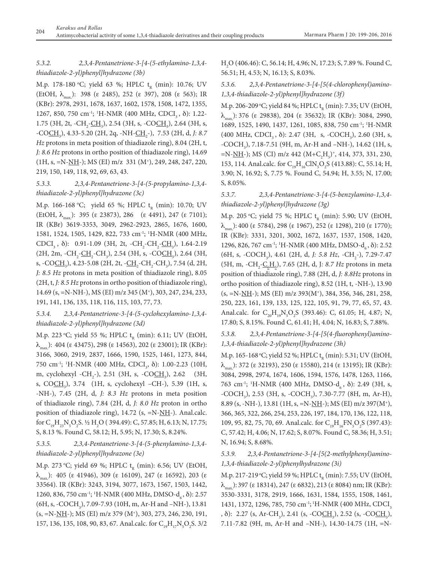## *5.3.2. 2,3,4-Pentanetrione-3-[4-(5-ethylamino-1,3,4 thiadiazole-2-yl)phenyl]hydrazone (3b)*

M.p. 178-180 °C; yield 63 %; HPLC  $t_{R}$  (min): 10.76; UV (EtOH,  $\lambda_{\text{max}}$ ): 398 (ε 2485), 252 (ε 397), 208 (ε 563); IR (KBr): 2978, 2931, 1678, 1637, 1602, 1578, 1508, 1472, 1355, 1267, 850, 750 cm<sup>-1</sup>; <sup>1</sup>H-NMR (400 MHz, CDCI<sub>3</sub>, δ): 1.22-1.75 (3H, 2t,  $-CH_2$ - $CH_3$ ), 2.54 (3H, s,  $-COCH_3$ ), 2.64 (3H, s, -CO<u>CH</u><sub>3</sub>), 4.33-5.20 (2H, 2q, -NH-<u>CH<sub>2</sub></u>-), 7.53 (2H, d, *J: 8.7 Hz* protons in meta position of thiadiazole ring), 8.04 (2H, t, *J: 8.6 Hz* protons in ortho position of thiadiazole ring), 14.69 (1H, s, =N-NH-); MS (EI) m/z 331 (M+), 249, 248, 247, 220, 219, 150, 149, 118, 92, 69, 63, 43.

## *5.3.3. 2,3,4-Pentanetrione-3-[4-(5-propylamino-1,3,4 thiadiazole-2-yl)phenyl]hydrazone (3c)*

M.p. 166-168 °C; yield 65 %; HPLC  $t_{R}$  (min): 10.70; UV (EtOH,  $\lambda_{\text{max}}$ ): 395 (ε 23873), 286 (ε 4491), 247 (ε 7101); IR (KBr) 3619-3353, 3049, 2962-2923, 2865, 1676, 1600, 1581, 1524, 1505, 1429, 822, 733 cm-1; 1 H-NMR (400 MHz, CDCI<sub>3</sub>,  $\delta$ ): 0.91-1.09 (3H, 2t, -CH<sub>2</sub>-CH<sub>2</sub>-CH<sub>3</sub>), 1.64-2.19 (2H, 2m, -CH<sub>2</sub>-CH<sub>2</sub>-CH<sub>3</sub>), 2.54 (3H, s, -CO<u>CH<sub>3</sub>)</u>, 2.64 (3H, s, -CO<u>CH</u><sub>3</sub>), 4.23-5.08 (2H, 2t, -<u>CH<sub>2</sub></u>-CH<sub>2</sub>-CH<sub>3</sub>), 7.54 (d, 2H, *J: 8.5 Hz* protons in meta position of thiadiazole ring), 8.05 (2H, t, *J: 8.5 Hz* protons in ortho position of thiadiazole ring), 14.69 (s, =N-NH-), MS (EI) m/z 345 (M+), 303, 247, 234, 233, 191, 141, 136, 135, 118, 116, 115, 103, 77, 73.

# *5.3.4. 2,3,4-Pentanetrione-3-[4-(5-cyclohexylamino-1,3,4 thiadiazole-2-yl)phenyl]hydrazone (3d)*

M.p. 223 °C; yield 55 %; HPLC  $t_{R}$  (min): 6.11; UV (EtOH,  $\lambda_{\text{max}}$ ): 404 (ε 43475), 298 (ε 14563), 202 (ε 23001); IR (KBr): 3166, 3060, 2919, 2837, 1666, 1590, 1525, 1461, 1273, 844, 750 cm<sup>-1</sup>; <sup>1</sup>H-NMR (400 MHz, CDCI<sub>3</sub>, δ): 1.00-2.23 (10H, m, cyclohexyl -CH<sub>2</sub>-), 2.51 (3H, s, -CO<u>CH<sub>3</sub></u>), 2.62 (3H, s, CO<u>CH</u><sub>3</sub>), 3.74 (1H, s, cyclohexyl –CH-), 5.39 (1H, s, -NH-), 7.45 (2H, d, *J: 8.3 Hz* protons in meta position of thiadiazole ring), 7.84 (2H, d, *J: 8.0 Hz* proton in ortho position of thiadiazole ring), 14.72 (s,  $=N-\underline{NH}$ -). Anal.calc. for  $C_{19}H_{23}N_5O_2S$ . ½ H<sub>2</sub>O (394.49): C, 57.85; H, 6.13; N, 17.75; S, 8.13 %. Found C, 58.12; H, 5.95; N, 17.30; S, 8.24%.

# *5.3.5. 2,3,4-Pentanetrione-3-[4-(5-phenylamino-1,3,4 thiadiazole-2-yl)phenyl]hydrazone (3e)*

M.p. 273 °C; yield 69 %; HPLC  $t_{R}$  (min): 6.56; UV (EtOH,  $\lambda_{\text{max}}$ ): 405 (ε 41946), 309 (ε 16109), 247 (ε 16592), 203 (ε 33564). IR (KBr): 3243, 3194, 3077, 1673, 1567, 1503, 1442, 1260, 836, 750 cm<sup>-1</sup>; <sup>1</sup>H-NMR (400 MHz, DMSO- $d_6$ ,  $\delta$ ): 2.57  $(6H, s, -COCH<sub>3</sub>), 7.09-7.93$  (10H, m, Ar-H and –NH-), 13.81 (s, =N-NH-); MS (EI) m/z 379 (M+), 303, 273, 246, 230, 191, 157, 136, 135, 108, 90, 83, 67. Anal.calc. for  $C_{19}H_{17}N_5O_2S$ . 3/2

H2 O (406.46): C, 56.14; H, 4.96; N, 17.23; S, 7.89 %. Found C, 56.51; H, 4.53; N, 16.13; S, 8.03%.

*5.3.6. 2,3,4-Pentanetrione-3-[4-[5(4-chlorophenyl)amino-1,3,4-thiadiazole-2-yl)phenyl]hydrazone (3f)*

M.p. 206-209 °C; yield 84 %; HPLC  $t_{n}$  (min): 7.35; UV (EtOH,  $\lambda_{\text{max}}$ ): 376 (ε 29838), 204 (ε 35632); IR (KBr): 3084, 2990, 1689, 1525, 1490, 1437, 1261, 1085, 838, 750 cm-1; 1 H-NMR  $(400 \text{ MHz}, \text{CDCI}_3, \delta)$ : 2.47 (3H, s, -COCH<sub>3</sub>), 2.60 (3H, s,  $-COCH_3$ ), 7.18-7.51 (9H, m, Ar-H and  $-NH$ -), 14.62 (1H, s, =N-<u>NH</u>-); MS (CI) m/z 442 (M+C<sub>2</sub>H<sub>5</sub>)<sup>+</sup>, 414, 373, 331, 230, 153, 114. Anal.calc. for  $C_{19}H_{16}C/N_5O_2S$  (413.88): C, 55.14; H, 3.90; N, 16.92; S, 7.75 %. Found C, 54.94; H, 3.55; N, 17.00; S, 8.05%.

# *5.3.7. 2,3,4-Pentanetrione-3-[4-(5-benzylamino-1,3,4 thiadiazole-2-yl)phenyl]hydrazone (3g)*

M.p. 205 °C; yield 75 %; HPLC  $t_p$  (min): 5.90; UV (EtOH,  $\lambda_{\text{max}}$ ): 400 (ε 5784), 298 (ε 1967), 252 (ε 1298), 210 (ε 1770); IR (KBr): 3331, 3201, 3002, 1672, 1637, 1537, 1508, 1420, 1296, 826, 767 cm<sup>-1</sup>; <sup>1</sup>H-NMR (400 MHz, DMSO- $d_6$ ,  $\delta$ ): 2.52 (6H, s, -COCH<sub>3</sub>), 4.61 (2H, d, *J: 5.8 Hz*, -CH<sub>2</sub>-), 7.29-7.47 (5H, m, -CH<sub>2</sub>-C<sub>6</sub>H<sub>2</sub>), 7.65 (2H, d, J*: 8.7 Hz* protons in meta position of thiadiazole ring), 7.88 (2H, d, *J: 8.8Hz* protons in ortho position of thiadiazole ring), 8.52 (1H, t, -NH-), 13.90  $(s, =N-NH-)$ ; MS (EI) m/z 393(M<sup>+</sup>), 384, 356, 346, 281, 258, 250, 223, 161, 139, 133, 125, 122, 105, 91, 79, 77, 65, 57, 43. Anal.calc. for  $C_{20}H_{19}N_5O_2S$  (393.46): C, 61.05; H, 4.87; N, 17.80; S, 8.15%. Found C, 61.41; H, 4.04; N, 16.83; S, 7.88%.

# *5.3.8. 2,3,4-Pentanetrione-3-[4-[5(4-fluorophenyl)amino-1,3,4-thiadiazole-2-yl)phenyl]hydrazone (3h)*

M.p. 165-168 °C; yield 52 %; HPLC  $t_{R}$  (min): 5.31; UV (EtOH,  $\lambda_{\text{max}}$ ): 372 (ε 32193), 250 (ε 15580), 214 (ε 13195); IR (KBr): 3084, 2998, 2974, 1674, 1606, 1594, 1576, 1478, 1263, 1166, 763 cm<sup>-1</sup>; <sup>1</sup>H-NMR (400 MHz, DMSO-d<sub>6</sub>, δ): 2.49 (3H, s, -COCH<sub>3</sub>), 2.53 (3H, s, -COCH<sub>3</sub>), 7.30-7.77 (8H, m, Ar-H), 8.89 (s, -NH-), 13.81 (1H, s, =N-NH-); MS (EI) m/z 397(M+), 366, 365, 322, 266, 254, 253, 226, 197, 184, 170, 136, 122, 118, 109, 95, 82, 75, 70, 69. Anal.calc. for  $C_{19}H_{16}FN_5O_2S$  (397.43): C, 57.42; H, 4.06; N, 17.62; S, 8.07%. Found C, 58.36; H, 3.51; N, 16.94; S, 8.68%.

# *5.3.9. 2,3,4-Pentanetrione-3-[4-[5(2-methylphenyl)amino-1,3,4-thiadiazole-2-yl)phenylhydrazone (3i)*

M.p. 217-219 °C; yield 59 %; HPLC  $t_{R}$  (min): 7.55; UV (EtOH,  $\lambda_{\text{max}}$ ): 397 (ε 18314), 247 (ε 6832), 213 (ε 8084) nm; IR (KBr): 3530-3331, 3178, 2919, 1666, 1631, 1584, 1555, 1508, 1461, 1431, 1372, 1296, 785, 750 cm<sup>-1</sup>; <sup>1</sup>H-NMR (400 MHz, CDCI<sub>3</sub> ,  $\delta$ ): 2.27 (s, Ar-CH<sub>3</sub>), 2.41 (s, -CO<u>CH<sub>3</sub>)</u>, 2.52 (s, -CO<u>CH<sub>3</sub>)</u>, 7.11-7.82 (9H, m, Ar-H and –NH-), 14.30-14.75 (1H, =N-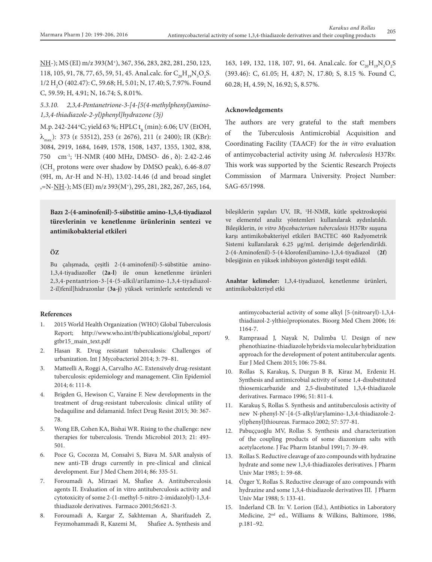NH-); MS (EI) m/z 393(M<sup>+</sup>), 367, 356, 283, 282, 281, 250, 123, 118, 105, 91, 78, 77, 65, 59, 51, 45. Anal.calc. for  $C_{20}H_{19}N_{5}O_{2}S$ . 1/2 H<sub>2</sub>O (402.47): C, 59.68; H, 5.01; N, 17.40; S, 7.97%. Found C, 59.59; H, 4.91; N, 16.74; S, 8.01%.

# *5.3.10. 2,3,4-Pentanetrione-3-[4-[5(4-methylphenyl)amino-1,3,4-thiadiazole-2-yl)phenyl]hydrazone (3j)*

M.p. 242-244 °C; yield 63 %; HPLC  $t_{n}$  (min): 6.06; UV (EtOH,  $\lambda_{\text{max}}$ ): 373 (ε 53512), 253 (ε 2676), 211 (ε 2400); IR (KBr): 3084, 2919, 1684, 1649, 1578, 1508, 1437, 1355, 1302, 838, 750 cm-1; 1 H-NMR (400 MHz, DMSO- d6 , d): 2.42-2.46 (CH<sub>3</sub> protons were over shadow by DMSO peak), 6.46-8.07 (9H, m, Ar-H and N-H), 13.02-14.46 (d and broad singlet ,=N-NH-); MS (EI) m/z 393(M+), 295, 281, 282, 267, 265, 164,

**Bazı 2-(4-aminofenil)-5-sübstitüe amino-1,3,4-tiyadiazol türevlerinin ve kenetlenme ürünlerinin sentezi ve antimikobakterial etkileri**

### **ÖZ**

Bu çalışmada, çeşitli 2-(4-aminofenil)-5-sübstitüe amino-1,3,4-tiyadiazoller (**2a-l**) ile onun kenetlenme ürünleri 2,3,4-pentantrion-3-[4-(5-alkil/arilamino-1,3,4-tiyadiazol-2-il)fenil]hidrazonlar (**3a-j**) yüksek verimlerle sentezlendi ve

#### **References**

- 1. 2015 World Health Organization (WHO) Global Tuberculosis Report; http://www.who.int/tb/publications/global\_report/ gtbr15\_main\_text.pdf
- 2. Hasan R. Drug resistant tuberculosis: Challenges of urbanization. Int J Mycobacteriol 2014; 3: 79–81.
- 3. Matteelli A, Roggi A, Carvalho AC. Extensively drug-resistant tuberculosis: epidemiology and management. Clin Epidemiol 2014; 6: 111-8.
- 4. Brigden G, Hewison C, Varaine F. New developments in the treatment of drug-resistant tuberculosis: clinical utility of bedaquiline and delamanid. Infect Drug Resist 2015; 30: 367- 78.
- 5. Wong EB, Cohen KA, Bishai WR. Rising to the challenge: new therapies for tuberculosis. Trends Microbiol 2013; 21: 493- 501.
- 6. Poce G, Cocozza M, Consalvi S, Biava M. SAR analysis of new anti-TB drugs currently in pre-clinical and clinical development. Eur J Med Chem 2014; 86: 335-51.
- 7. Foroumadi A, Mirzaei M, Shafiee A. Antituberculosis agents II. Evaluation of in vitro antituberculosis activity and cytotoxicity of some 2-(1-methyl-5-nitro-2-imidazolyl)-1,3,4 thiadiazole derivatives. Farmaco 2001;56:621-3.
- 8. Foroumadi A, Kargar Z, Sakhteman A, Sharifzadeh Z, Feyzmohammadi R, Kazemi M, Shafiee A**.** Synthesis and

163, 149, 132, 118, 107, 91, 64. Anal.calc. for  $C_{20}H_{19}N_{5}O_{2}S$ (393.46): C, 61.05; H, 4.87; N, 17.80; S, 8.15 %. Found C, 60.28; H, 4.59; N, 16.92; S, 8.57%.

#### **Acknowledgements**

The authors are very grateful to the staft members of the Tuberculosis Antimicrobial Acquisition and Coordinating Facility (TAACF) for the *in vitro* evaluation of antimycobacterial activity using *M. tuberculosis* H37Rv. This work was supported by the Scientic Research Projects Commission of Marmara University. Project Number: SAG-65/1998.

bileşiklerin yapıları UV, IR, 1 H-NMR, kütle spektroskopisi ve elementel analiz yöntemleri kullanılarak aydınlatıldı. Bileşiklerin, *in vitro Mycobacterium tuberculosis* H37Rv suşuna karşı antimikobakteriyel etkileri BACTEC 460 Radyometrik Sistemi kullanılarak 6.25 μg/mL derişimde değerlendirildi. 2-(4-Aminofenil)-5-(4-klorofenil)amino-1,3,4-tiyadiazol (**2f**) bileşiğinin en yüksek inhibisyon gösterdiği tespit edildi.

**Anahtar kelimeler:** 1,3,4-tiyadiazol, kenetlenme ürünleri, antimikobakteriyel etki

antimycobacterial activity of some alkyl [5-(nitroaryl)-1,3,4 thiadiazol-2-ylthio]propionates. Bioorg Med Chem 2006; 16: 1164-7.

- 9. Ramprasad J, Nayak N, Dalimba U. Design of new phenothiazine-thiadiazole hybrids via molecular hybridization approach for the development of potent antitubercular agents. Eur J Med Chem 2015; 106: 75-84.
- 10. Rollas S, Karakuş, S, Durgun B B, Kiraz M, Erdeniz H. Synthesis and antimicrobial activity of some 1,4-disubstituted thiosemicarbazide and 2,5-disubstituted 1,3,4-thiadiazole derivatives. Farmaco 1996; 51: 811-4.
- 11. Karakuş S, Rollas S. Synthesis and antituberculosis activity of new N-phenyl-N'-[4-(5-alkyl/arylamino-1,3,4-thiadiazole-2 yl)phenyl]thioureas. Farmaco 2002; 57: 577-81.
- 12. Pabuççuoğlu MV, Rollas S. Synthesis and characterization of the coupling products of some diazonium salts with acetylacetone. J Fac Pharm Istanbul 1991; 7: 39-49.
- 13. Rollas S. Reductive cleavage of azo compounds with hydrazine hydrate and some new 1,3,4-thiadiazoles derivatives. J Pharm Univ Mar 1985; 1: 59-68.
- 14. Özger Y, Rollas S. Reductive cleavage of azo compounds with hydrazine and some 1,3,4-thiadiazole derivatives III.J Pharm Univ Mar 1988; 5: 133-41.
- 15. Inderland CB. In: V. Lorion (Ed.), Antibiotics in Laboratory Medicine, 2nd ed., Williams & Wilkins, Baltimore, 1986, p.181–92.